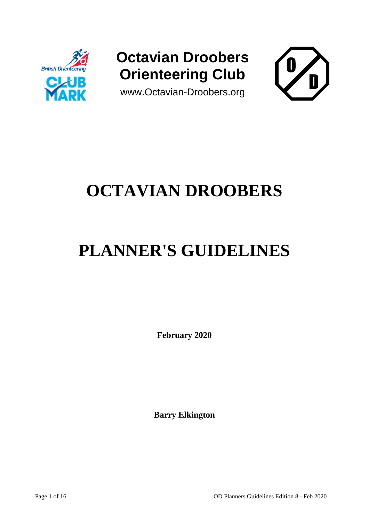

# **Octavian Droobers Orienteering Club**





# **OCTAVIAN DROOBERS**

# **PLANNER'S GUIDELINES**

**February 2020**

**Barry Elkington**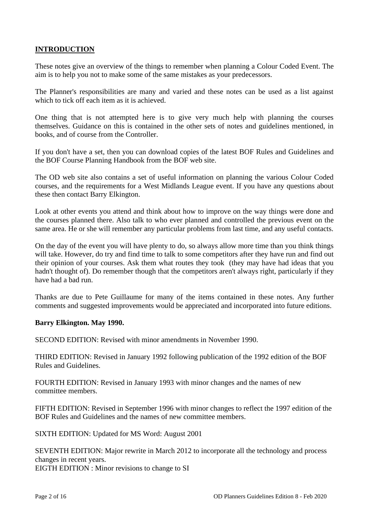### **INTRODUCTION**

These notes give an overview of the things to remember when planning a Colour Coded Event. The aim is to help you not to make some of the same mistakes as your predecessors.

The Planner's responsibilities are many and varied and these notes can be used as a list against which to tick off each item as it is achieved.

One thing that is not attempted here is to give very much help with planning the courses themselves. Guidance on this is contained in the other sets of notes and guidelines mentioned, in books, and of course from the Controller.

If you don't have a set, then you can download copies of the latest BOF Rules and Guidelines and the BOF Course Planning Handbook from the BOF web site.

The OD web site also contains a set of useful information on planning the various Colour Coded courses, and the requirements for a West Midlands League event. If you have any questions about these then contact Barry Elkington.

Look at other events you attend and think about how to improve on the way things were done and the courses planned there. Also talk to who ever planned and controlled the previous event on the same area. He or she will remember any particular problems from last time, and any useful contacts.

On the day of the event you will have plenty to do, so always allow more time than you think things will take. However, do try and find time to talk to some competitors after they have run and find out their opinion of your courses. Ask them what routes they took (they may have had ideas that you hadn't thought of). Do remember though that the competitors aren't always right, particularly if they have had a bad run.

Thanks are due to Pete Guillaume for many of the items contained in these notes. Any further comments and suggested improvements would be appreciated and incorporated into future editions.

#### **Barry Elkington. May 1990.**

SECOND EDITION: Revised with minor amendments in November 1990.

THIRD EDITION: Revised in January 1992 following publication of the 1992 edition of the BOF Rules and Guidelines.

FOURTH EDITION: Revised in January 1993 with minor changes and the names of new committee members.

FIFTH EDITION: Revised in September 1996 with minor changes to reflect the 1997 edition of the BOF Rules and Guidelines and the names of new committee members.

SIXTH EDITION: Updated for MS Word: August 2001

SEVENTH EDITION: Major rewrite in March 2012 to incorporate all the technology and process changes in recent years.

EIGTH EDITION : Minor revisions to change to SI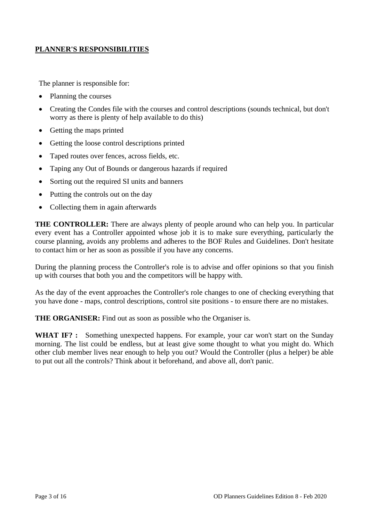#### **PLANNER'S RESPONSIBILITIES**

The planner is responsible for:

- Planning the courses
- Creating the Condes file with the courses and control descriptions (sounds technical, but don't worry as there is plenty of help available to do this)
- Getting the maps printed
- Getting the loose control descriptions printed
- Taped routes over fences, across fields, etc.
- Taping any Out of Bounds or dangerous hazards if required
- Sorting out the required SI units and banners
- Putting the controls out on the day
- Collecting them in again afterwards

**THE CONTROLLER:** There are always plenty of people around who can help you. In particular every event has a Controller appointed whose job it is to make sure everything, particularly the course planning, avoids any problems and adheres to the BOF Rules and Guidelines. Don't hesitate to contact him or her as soon as possible if you have any concerns.

During the planning process the Controller's role is to advise and offer opinions so that you finish up with courses that both you and the competitors will be happy with.

As the day of the event approaches the Controller's role changes to one of checking everything that you have done - maps, control descriptions, control site positions - to ensure there are no mistakes.

**THE ORGANISER:** Find out as soon as possible who the Organiser is.

WHAT IF? : Something unexpected happens. For example, your car won't start on the Sunday morning. The list could be endless, but at least give some thought to what you might do. Which other club member lives near enough to help you out? Would the Controller (plus a helper) be able to put out all the controls? Think about it beforehand, and above all, don't panic.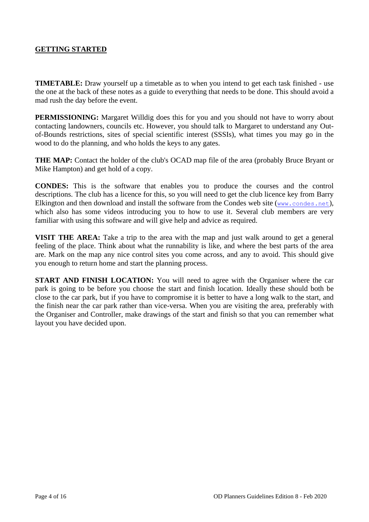#### **GETTING STARTED**

**TIMETABLE:** Draw yourself up a timetable as to when you intend to get each task finished - use the one at the back of these notes as a guide to everything that needs to be done. This should avoid a mad rush the day before the event.

**PERMISSIONING:** Margaret Willdig does this for you and you should not have to worry about contacting landowners, councils etc. However, you should talk to Margaret to understand any Outof-Bounds restrictions, sites of special scientific interest (SSSIs), what times you may go in the wood to do the planning, and who holds the keys to any gates.

**THE MAP:** Contact the holder of the club's OCAD map file of the area (probably Bruce Bryant or Mike Hampton) and get hold of a copy.

**CONDES:** This is the software that enables you to produce the courses and the control descriptions. The club has a licence for this, so you will need to get the club licence key from Barry Elkington and then download and install the software from the Condes web site ([www.condes.net](http://www.condes.net/)), which also has some videos introducing you to how to use it. Several club members are very familiar with using this software and will give help and advice as required.

**VISIT THE AREA:** Take a trip to the area with the map and just walk around to get a general feeling of the place. Think about what the runnability is like, and where the best parts of the area are. Mark on the map any nice control sites you come across, and any to avoid. This should give you enough to return home and start the planning process.

**START AND FINISH LOCATION:** You will need to agree with the Organiser where the car park is going to be before you choose the start and finish location. Ideally these should both be close to the car park, but if you have to compromise it is better to have a long walk to the start, and the finish near the car park rather than vice-versa. When you are visiting the area, preferably with the Organiser and Controller, make drawings of the start and finish so that you can remember what layout you have decided upon.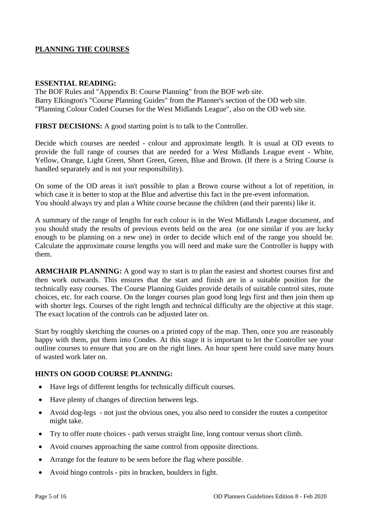### **PLANNING THE COURSES**

#### **ESSENTIAL READING:**

The BOF Rules and "Appendix B: Course Planning" from the BOF web site. Barry Elkington's "Course Planning Guides" from the Planner's section of the OD web site. "Planning Colour Coded Courses for the West Midlands League", also on the OD web site.

**FIRST DECISIONS:** A good starting point is to talk to the Controller.

Decide which courses are needed - colour and approximate length. It is usual at OD events to provide the full range of courses that are needed for a West Midlands League event - White, Yellow, Orange, Light Green, Short Green, Green, Blue and Brown. (If there is a String Course is handled separately and is not your responsibility).

On some of the OD areas it isn't possible to plan a Brown course without a lot of repetition, in which case it is better to stop at the Blue and advertise this fact in the pre-event information. You should always try and plan a White course because the children (and their parents) like it.

A summary of the range of lengths for each colour is in the West Midlands League document, and you should study the results of previous events held on the area (or one similar if you are lucky enough to be planning on a new one) in order to decide which end of the range you should be. Calculate the approximate course lengths you will need and make sure the Controller is happy with them.

**ARMCHAIR PLANNING:** A good way to start is to plan the easiest and shortest courses first and then work outwards. This ensures that the start and finish are in a suitable position for the technically easy courses. The Course Planning Guides provide details of suitable control sites, route choices, etc. for each course. On the longer courses plan good long legs first and then join them up with shorter legs. Courses of the right length and technical difficulty are the objective at this stage. The exact location of the controls can be adjusted later on.

Start by roughly sketching the courses on a printed copy of the map. Then, once you are reasonably happy with them, put them into Condes. At this stage it is important to let the Controller see your outline courses to ensure that you are on the right lines. An hour spent here could save many hours of wasted work later on.

#### **HINTS ON GOOD COURSE PLANNING:**

- Have legs of different lengths for technically difficult courses.
- Have plenty of changes of direction between legs.
- Avoid dog-legs not just the obvious ones, you also need to consider the routes a competitor might take.
- Try to offer route choices path versus straight line, long contour versus short climb.
- Avoid courses approaching the same control from opposite directions.
- Arrange for the feature to be seen before the flag where possible.
- Avoid bingo controls pits in bracken, boulders in fight.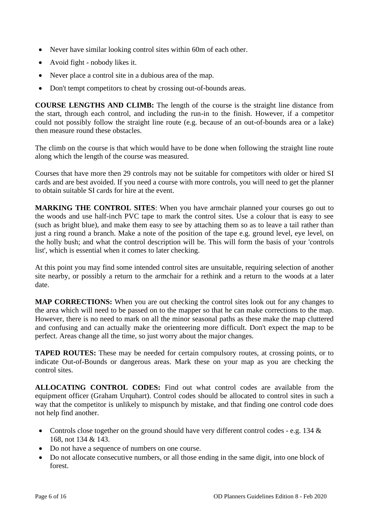- Never have similar looking control sites within 60m of each other.
- Avoid fight nobody likes it.
- Never place a control site in a dubious area of the map.
- Don't tempt competitors to cheat by crossing out-of-bounds areas.

**COURSE LENGTHS AND CLIMB:** The length of the course is the straight line distance from the start, through each control, and including the run-in to the finish. However, if a competitor could not possibly follow the straight line route (e.g. because of an out-of-bounds area or a lake) then measure round these obstacles.

The climb on the course is that which would have to be done when following the straight line route along which the length of the course was measured.

Courses that have more then 29 controls may not be suitable for competitors with older or hired SI cards and are best avoided. If you need a course with more controls, you will need to get the planner to obtain suitable SI cards for hire at the event.

**MARKING THE CONTROL SITES**: When you have armchair planned your courses go out to the woods and use half-inch PVC tape to mark the control sites. Use a colour that is easy to see (such as bright blue), and make them easy to see by attaching them so as to leave a tail rather than just a ring round a branch. Make a note of the position of the tape e.g. ground level, eye level, on the holly bush; and what the control description will be. This will form the basis of your 'controls list', which is essential when it comes to later checking.

At this point you may find some intended control sites are unsuitable, requiring selection of another site nearby, or possibly a return to the armchair for a rethink and a return to the woods at a later date.

**MAP CORRECTIONS:** When you are out checking the control sites look out for any changes to the area which will need to be passed on to the mapper so that he can make corrections to the map. However, there is no need to mark on all the minor seasonal paths as these make the map cluttered and confusing and can actually make the orienteering more difficult. Don't expect the map to be perfect. Areas change all the time, so just worry about the major changes.

**TAPED ROUTES:** These may be needed for certain compulsory routes, at crossing points, or to indicate Out-of-Bounds or dangerous areas. Mark these on your map as you are checking the control sites.

**ALLOCATING CONTROL CODES:** Find out what control codes are available from the equipment officer (Graham Urquhart). Control codes should be allocated to control sites in such a way that the competitor is unlikely to mispunch by mistake, and that finding one control code does not help find another.

- Controls close together on the ground should have very different control codes e.g. 134 & 168, not 134 & 143.
- Do not have a sequence of numbers on one course.
- Do not allocate consecutive numbers, or all those ending in the same digit, into one block of forest.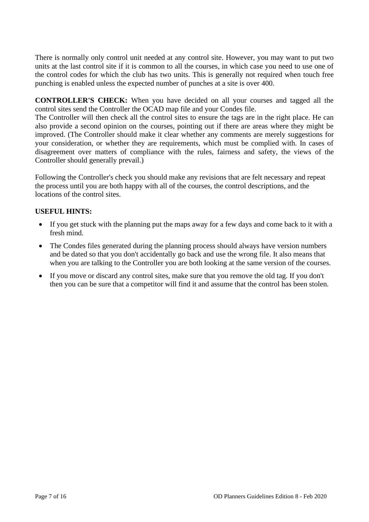There is normally only control unit needed at any control site. However, you may want to put two units at the last control site if it is common to all the courses, in which case you need to use one of the control codes for which the club has two units. This is generally not required when touch free punching is enabled unless the expected number of punches at a site is over 400.

**CONTROLLER'S CHECK:** When you have decided on all your courses and tagged all the control sites send the Controller the OCAD map file and your Condes file.

The Controller will then check all the control sites to ensure the tags are in the right place. He can also provide a second opinion on the courses, pointing out if there are areas where they might be improved. (The Controller should make it clear whether any comments are merely suggestions for your consideration, or whether they are requirements, which must be complied with. In cases of disagreement over matters of compliance with the rules, fairness and safety, the views of the Controller should generally prevail.)

Following the Controller's check you should make any revisions that are felt necessary and repeat the process until you are both happy with all of the courses, the control descriptions, and the locations of the control sites.

#### **USEFUL HINTS:**

- If you get stuck with the planning put the maps away for a few days and come back to it with a fresh mind.
- The Condes files generated during the planning process should always have version numbers and be dated so that you don't accidentally go back and use the wrong file. It also means that when you are talking to the Controller you are both looking at the same version of the courses.
- If you move or discard any control sites, make sure that you remove the old tag. If you don't then you can be sure that a competitor will find it and assume that the control has been stolen.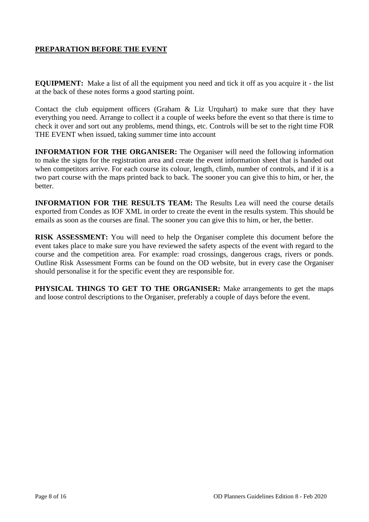## **PREPARATION BEFORE THE EVENT**

**EQUIPMENT:** Make a list of all the equipment you need and tick it off as you acquire it - the list at the back of these notes forms a good starting point.

Contact the club equipment officers (Graham & Liz Urquhart) to make sure that they have everything you need. Arrange to collect it a couple of weeks before the event so that there is time to check it over and sort out any problems, mend things, etc. Controls will be set to the right time FOR THE EVENT when issued, taking summer time into account

**INFORMATION FOR THE ORGANISER:** The Organiser will need the following information to make the signs for the registration area and create the event information sheet that is handed out when competitors arrive. For each course its colour, length, climb, number of controls, and if it is a two part course with the maps printed back to back. The sooner you can give this to him, or her, the better.

**INFORMATION FOR THE RESULTS TEAM:** The Results Lea will need the course details exported from Condes as IOF XML in order to create the event in the results system. This should be emails as soon as the courses are final. The sooner you can give this to him, or her, the better.

**RISK ASSESSMENT:** You will need to help the Organiser complete this document before the event takes place to make sure you have reviewed the safety aspects of the event with regard to the course and the competition area. For example: road crossings, dangerous crags, rivers or ponds. Outline Risk Assessment Forms can be found on the OD website, but in every case the Organiser should personalise it for the specific event they are responsible for.

**PHYSICAL THINGS TO GET TO THE ORGANISER:** Make arrangements to get the maps and loose control descriptions to the Organiser, preferably a couple of days before the event.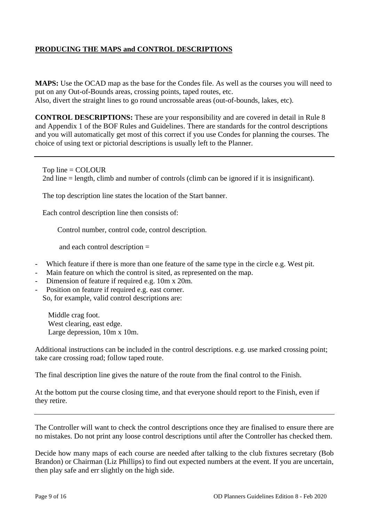### **PRODUCING THE MAPS and CONTROL DESCRIPTIONS**

**MAPS:** Use the OCAD map as the base for the Condes file. As well as the courses you will need to put on any Out-of-Bounds areas, crossing points, taped routes, etc. Also, divert the straight lines to go round uncrossable areas (out-of-bounds, lakes, etc).

**CONTROL DESCRIPTIONS:** These are your responsibility and are covered in detail in Rule 8 and Appendix 1 of the BOF Rules and Guidelines. There are standards for the control descriptions and you will automatically get most of this correct if you use Condes for planning the courses. The choice of using text or pictorial descriptions is usually left to the Planner.

 Top line = COLOUR 2nd line = length, climb and number of controls (climb can be ignored if it is insignificant).

The top description line states the location of the Start banner.

Each control description line then consists of:

Control number, control code, control description.

and each control description =

- Which feature if there is more than one feature of the same type in the circle e.g. West pit.
- Main feature on which the control is sited, as represented on the map.
- Dimension of feature if required e.g. 10m x 20m.
- Position on feature if required e.g. east corner.

So, for example, valid control descriptions are:

 Middle crag foot. West clearing, east edge. Large depression, 10m x 10m.

Additional instructions can be included in the control descriptions. e.g. use marked crossing point; take care crossing road; follow taped route.

The final description line gives the nature of the route from the final control to the Finish.

At the bottom put the course closing time, and that everyone should report to the Finish, even if they retire.

The Controller will want to check the control descriptions once they are finalised to ensure there are no mistakes. Do not print any loose control descriptions until after the Controller has checked them.

Decide how many maps of each course are needed after talking to the club fixtures secretary (Bob Brandon) or Chairman (Liz Phillips) to find out expected numbers at the event. If you are uncertain, then play safe and err slightly on the high side.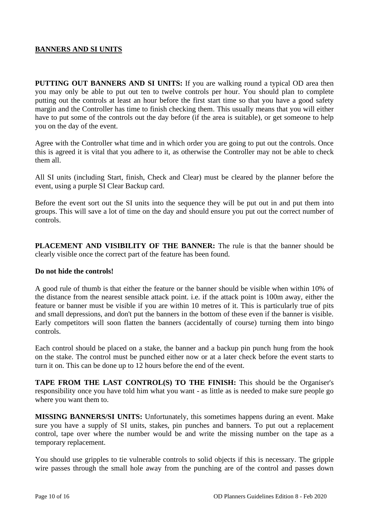#### **BANNERS AND SI UNITS**

**PUTTING OUT BANNERS AND SI UNITS:** If you are walking round a typical OD area then you may only be able to put out ten to twelve controls per hour. You should plan to complete putting out the controls at least an hour before the first start time so that you have a good safety margin and the Controller has time to finish checking them. This usually means that you will either have to put some of the controls out the day before (if the area is suitable), or get someone to help you on the day of the event.

Agree with the Controller what time and in which order you are going to put out the controls. Once this is agreed it is vital that you adhere to it, as otherwise the Controller may not be able to check them all.

All SI units (including Start, finish, Check and Clear) must be cleared by the planner before the event, using a purple SI Clear Backup card.

Before the event sort out the SI units into the sequence they will be put out in and put them into groups. This will save a lot of time on the day and should ensure you put out the correct number of controls.

**PLACEMENT AND VISIBILITY OF THE BANNER:** The rule is that the banner should be clearly visible once the correct part of the feature has been found.

#### **Do not hide the controls!**

A good rule of thumb is that either the feature or the banner should be visible when within 10% of the distance from the nearest sensible attack point. i.e. if the attack point is 100m away, either the feature or banner must be visible if you are within 10 metres of it. This is particularly true of pits and small depressions, and don't put the banners in the bottom of these even if the banner is visible. Early competitors will soon flatten the banners (accidentally of course) turning them into bingo controls.

Each control should be placed on a stake, the banner and a backup pin punch hung from the hook on the stake. The control must be punched either now or at a later check before the event starts to turn it on. This can be done up to 12 hours before the end of the event.

**TAPE FROM THE LAST CONTROL(S) TO THE FINISH:** This should be the Organiser's responsibility once you have told him what you want - as little as is needed to make sure people go where you want them to.

**MISSING BANNERS/SI UNITS:** Unfortunately, this sometimes happens during an event. Make sure you have a supply of SI units, stakes, pin punches and banners. To put out a replacement control, tape over where the number would be and write the missing number on the tape as a temporary replacement.

You should use gripples to tie vulnerable controls to solid objects if this is necessary. The gripple wire passes through the small hole away from the punching are of the control and passes down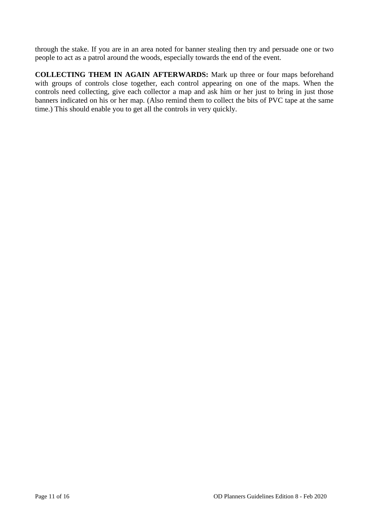through the stake. If you are in an area noted for banner stealing then try and persuade one or two people to act as a patrol around the woods, especially towards the end of the event.

**COLLECTING THEM IN AGAIN AFTERWARDS:** Mark up three or four maps beforehand with groups of controls close together, each control appearing on one of the maps. When the controls need collecting, give each collector a map and ask him or her just to bring in just those banners indicated on his or her map. (Also remind them to collect the bits of PVC tape at the same time.) This should enable you to get all the controls in very quickly.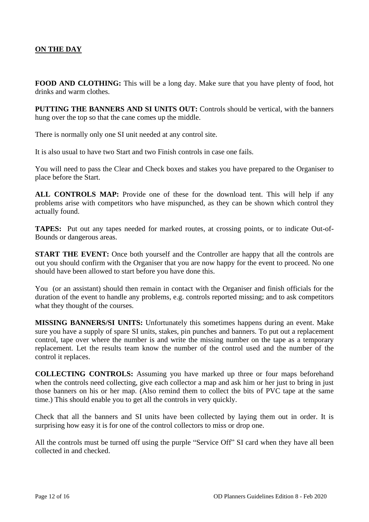# **ON THE DAY**

**FOOD AND CLOTHING:** This will be a long day. Make sure that you have plenty of food, hot drinks and warm clothes.

**PUTTING THE BANNERS AND SI UNITS OUT:** Controls should be vertical, with the banners hung over the top so that the cane comes up the middle.

There is normally only one SI unit needed at any control site.

It is also usual to have two Start and two Finish controls in case one fails.

You will need to pass the Clear and Check boxes and stakes you have prepared to the Organiser to place before the Start.

**ALL CONTROLS MAP:** Provide one of these for the download tent. This will help if any problems arise with competitors who have mispunched, as they can be shown which control they actually found.

**TAPES:** Put out any tapes needed for marked routes, at crossing points, or to indicate Out-of-Bounds or dangerous areas.

**START THE EVENT:** Once both yourself and the Controller are happy that all the controls are out you should confirm with the Organiser that you are now happy for the event to proceed. No one should have been allowed to start before you have done this.

You (or an assistant) should then remain in contact with the Organiser and finish officials for the duration of the event to handle any problems, e.g. controls reported missing; and to ask competitors what they thought of the courses.

**MISSING BANNERS/SI UNITS:** Unfortunately this sometimes happens during an event. Make sure you have a supply of spare SI units, stakes, pin punches and banners. To put out a replacement control, tape over where the number is and write the missing number on the tape as a temporary replacement. Let the results team know the number of the control used and the number of the control it replaces.

**COLLECTING CONTROLS:** Assuming you have marked up three or four maps beforehand when the controls need collecting, give each collector a map and ask him or her just to bring in just those banners on his or her map. (Also remind them to collect the bits of PVC tape at the same time.) This should enable you to get all the controls in very quickly.

Check that all the banners and SI units have been collected by laying them out in order. It is surprising how easy it is for one of the control collectors to miss or drop one.

All the controls must be turned off using the purple "Service Off" SI card when they have all been collected in and checked.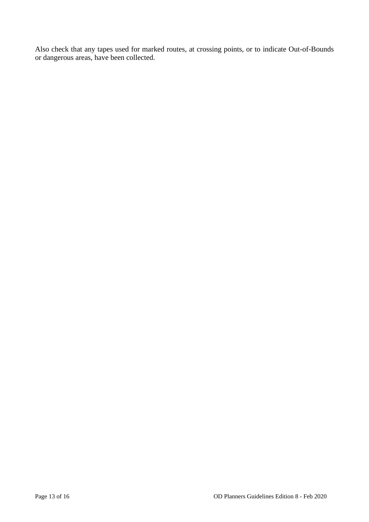Also check that any tapes used for marked routes, at crossing points, or to indicate Out-of-Bounds or dangerous areas, have been collected.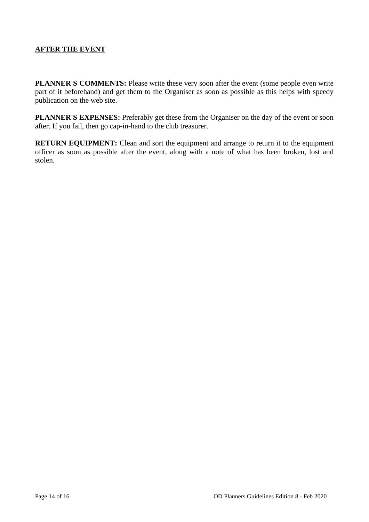## **AFTER THE EVENT**

**PLANNER'S COMMENTS:** Please write these very soon after the event (some people even write part of it beforehand) and get them to the Organiser as soon as possible as this helps with speedy publication on the web site.

**PLANNER'S EXPENSES:** Preferably get these from the Organiser on the day of the event or soon after. If you fail, then go cap-in-hand to the club treasurer.

**RETURN EQUIPMENT:** Clean and sort the equipment and arrange to return it to the equipment officer as soon as possible after the event, along with a note of what has been broken, lost and stolen.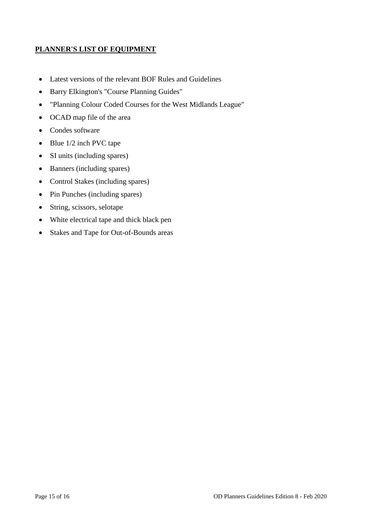### **PLANNER'S LIST OF EQUIPMENT**

- Latest versions of the relevant BOF Rules and Guidelines
- Barry Elkington's "Course Planning Guides"
- "Planning Colour Coded Courses for the West Midlands League"
- OCAD map file of the area
- Condes software
- Blue 1/2 inch PVC tape
- SI units (including spares)
- Banners (including spares)
- Control Stakes (including spares)
- Pin Punches (including spares)
- String, scissors, selotape
- White electrical tape and thick black pen
- Stakes and Tape for Out-of-Bounds areas